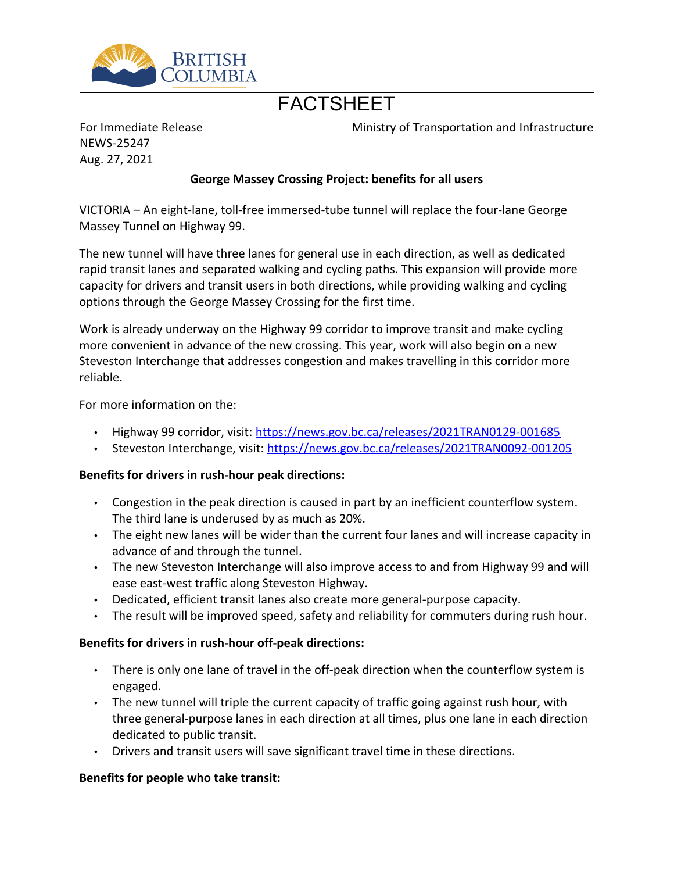

# **FACTSHEFT**

For Immediate Release NEWS-25247 Aug. 27, 2021

Ministry of Transportation and Infrastructure

# **George Massey Crossing Project: benefits for all users**

VICTORIA – An eight-lane, toll-free immersed-tube tunnel will replace the four-lane George Massey Tunnel on Highway 99.

The new tunnel will have three lanes for general use in each direction, as well as dedicated rapid transit lanes and separated walking and cycling paths. This expansion will provide more capacity for drivers and transit users in both directions, while providing walking and cycling options through the George Massey Crossing for the first time.

Work is already underway on the Highway 99 corridor to improve transit and make cycling more convenient in advance of the new crossing. This year, work will also begin on a new Steveston Interchange that addresses congestion and makes travelling in this corridor more reliable.

For more information on the:

- Highway 99 corridor, visit:<https://news.gov.bc.ca/releases/2021TRAN0129-001685>
- Steveston Interchange, visit: <https://news.gov.bc.ca/releases/2021TRAN0092-001205>

#### **Benefits for drivers in rush-hour peak directions:**

- Congestion in the peak direction is caused in part by an inefficient counterflow system. The third lane is underused by as much as 20%.
- The eight new lanes will be wider than the current four lanes and will increase capacity in advance of and through the tunnel.
- The new Steveston Interchange will also improve access to and from Highway 99 and will ease east-west traffic along Steveston Highway.
- Dedicated, efficient transit lanes also create more general-purpose capacity.
- The result will be improved speed, safety and reliability for commuters during rush hour.

#### **Benefits for drivers in rush-hour off-peak directions:**

- There is only one lane of travel in the off-peak direction when the counterflow system is engaged.
- The new tunnel will triple the current capacity of traffic going against rush hour, with three general-purpose lanes in each direction at all times, plus one lane in each direction dedicated to public transit.
- Drivers and transit users will save significant travel time in these directions.

#### **Benefits for people who take transit:**